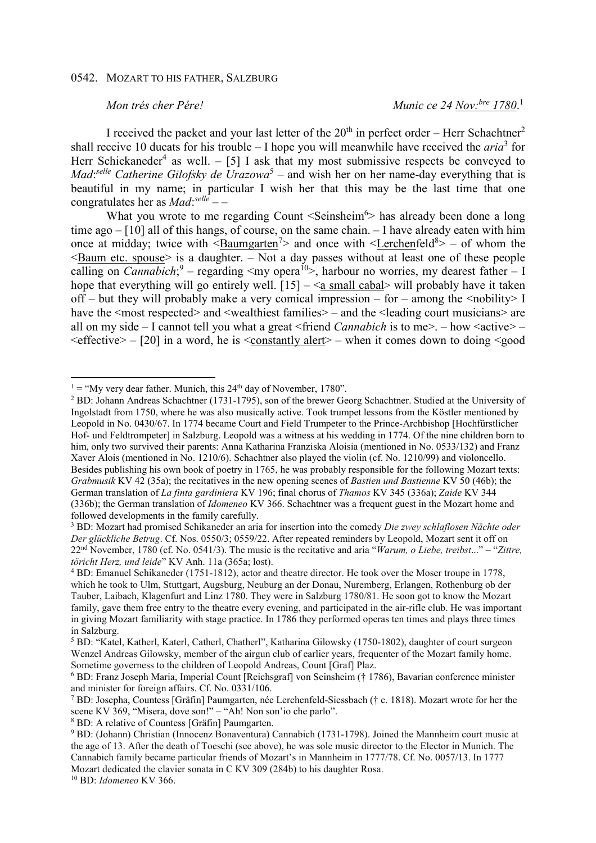## 0542. MOZART TO HIS FATHER, SALZBURG

## *Mon trés cher Pére! Munic ce 24 Nov:bre 1780*. 1

I received the packet and your last letter of the  $20^{th}$  in perfect order – Herr Schachtner<sup>2</sup> shall receive 10 ducats for his trouble – I hope you will meanwhile have received the *aria*<sup>3</sup> for Herr Schickaneder<sup>4</sup> as well.  $-$  [5] I ask that my most submissive respects be conveyed to *Mad*: *selle Catherine Gilofsky de Urazowa*<sup>5</sup> – and wish her on her name-day everything that is beautiful in my name; in particular I wish her that this may be the last time that one congratulates her as *Mad*: *selle* – –

What you wrote to me regarding Count  $\le$ Seinsheim<sup>6</sup> $>$  has already been done a long time ago – [10] all of this hangs, of course, on the same chain. – I have already eaten with him once at midday; twice with  $\leq$ Baumgarten<sup>7</sup> $>$  and once with  $\leq$ Lerchenfeld<sup>8</sup> $>$  – of whom the  $\leq$ Baum etc. spouse $\geq$  is a daughter. – Not a day passes without at least one of these people calling on *Cannabich*;<sup>9</sup> – regarding <my opera<sup>10</sup>>, harbour no worries, my dearest father – I hope that everything will go entirely well.  $[15] - \le a$  small cabal> will probably have it taken off – but they will probably make a very comical impression – for – among the  $\leq$ nobility I have the  $\leq$ most respected> and  $\leq$ wealthiest families> – and the  $\leq$ leading court musicians> are all on my side – I cannot tell you what a great <friend *Cannabich* is to me>. – how <active> –  $\leq$  effective $>$  – [20] in a word, he is  $\leq$  constantly alert $>$  – when it comes down to doing  $\leq$  good

8 BD: A relative of Countess [Gräfin] Paumgarten.

10 BD: *Idomeneo* KV 366.

 $\overline{a}$ 

<sup>&</sup>lt;sup>1</sup> = "My very dear father. Munich, this  $24<sup>th</sup>$  day of November, 1780".

<sup>&</sup>lt;sup>2</sup> BD: Johann Andreas Schachtner (1731-1795), son of the brewer Georg Schachtner. Studied at the University of Ingolstadt from 1750, where he was also musically active. Took trumpet lessons from the Köstler mentioned by Leopold in No. 0430/67. In 1774 became Court and Field Trumpeter to the Prince-Archbishop [Hochfürstlicher Hof- und Feldtrompeter] in Salzburg. Leopold was a witness at his wedding in 1774. Of the nine children born to him, only two survived their parents: Anna Katharina Franziska Aloisia (mentioned in No. 0533/132) and Franz Xaver Alois (mentioned in No. 1210/6). Schachtner also played the violin (cf. No. 1210/99) and violoncello. Besides publishing his own book of poetry in 1765, he was probably responsible for the following Mozart texts: *Grabmusik* KV 42 (35a); the recitatives in the new opening scenes of *Bastien und Bastienne* KV 50 (46b); the German translation of *La finta gardiniera* KV 196; final chorus of *Thamos* KV 345 (336a); *Zaide* KV 344 (336b); the German translation of *Idomeneo* KV 366. Schachtner was a frequent guest in the Mozart home and followed developments in the family carefully.

<sup>3</sup> BD: Mozart had promised Schikaneder an aria for insertion into the comedy *Die zwey schlaflosen Nächte oder Der glückliche Betrug*. Cf. Nos. 0550/3; 0559/22. After repeated reminders by Leopold, Mozart sent it off on 22nd November, 1780 (cf. No. 0541/3). The music is the recitative and aria "*Warum, o Liebe, treibst*..." – "*Zittre, töricht Herz, und leide*" KV Anh. 11a (365a; lost).

<sup>4</sup> BD: Emanuel Schikaneder (1751-1812), actor and theatre director. He took over the Moser troupe in 1778, which he took to Ulm, Stuttgart, Augsburg, Neuburg an der Donau, Nuremberg, Erlangen, Rothenburg ob der Tauber, Laibach, Klagenfurt and Linz 1780. They were in Salzburg 1780/81. He soon got to know the Mozart family, gave them free entry to the theatre every evening, and participated in the air-rifle club. He was important in giving Mozart familiarity with stage practice. In 1786 they performed operas ten times and plays three times in Salzburg.

<sup>5</sup> BD: "Katel, Katherl, Katerl, Catherl, Chatherl", Katharina Gilowsky (1750-1802), daughter of court surgeon Wenzel Andreas Gilowsky, member of the airgun club of earlier years, frequenter of the Mozart family home. Sometime governess to the children of Leopold Andreas, Count [Graf] Plaz.

<sup>6</sup> BD: Franz Joseph Maria, Imperial Count [Reichsgraf] von Seinsheim († 1786), Bavarian conference minister and minister for foreign affairs. Cf. No. 0331/106.

<sup>7</sup> BD: Josepha, Countess [Gräfin] Paumgarten, née Lerchenfeld-Siessbach († c. 1818). Mozart wrote for her the scene KV 369, "Misera, dove son!" – "Ah! Non son'io che parlo".

<sup>&</sup>lt;sup>9</sup> BD: (Johann) Christian (Innocenz Bonaventura) Cannabich (1731-1798). Joined the Mannheim court music at the age of 13. After the death of Toeschi (see above), he was sole music director to the Elector in Munich. The Cannabich family became particular friends of Mozart's in Mannheim in 1777/78. Cf. No. 0057/13. In 1777 Mozart dedicated the clavier sonata in C KV 309 (284b) to his daughter Rosa.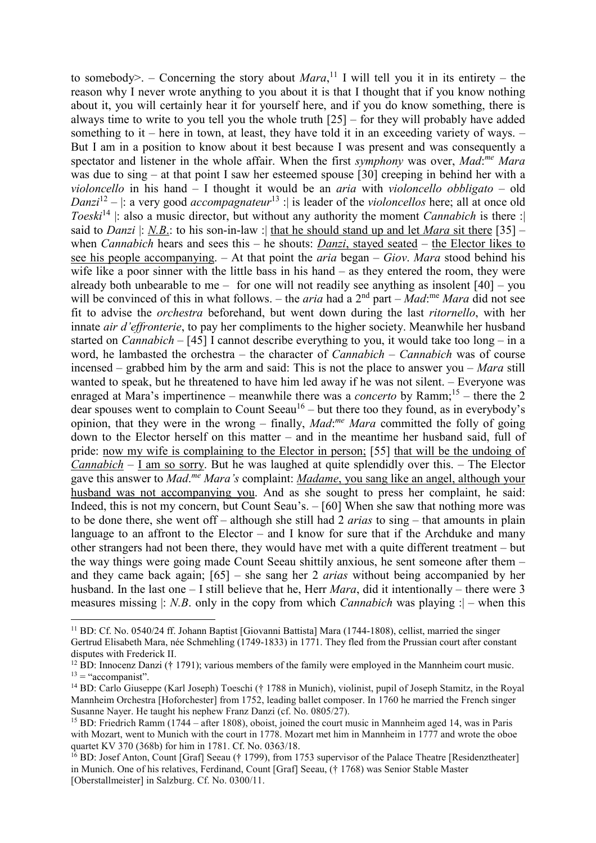to somebody>.  $-$  Concerning the story about *Mara*,<sup>11</sup> I will tell you it in its entirety  $-$  the reason why I never wrote anything to you about it is that I thought that if you know nothing about it, you will certainly hear it for yourself here, and if you do know something, there is always time to write to you tell you the whole truth [25] – for they will probably have added something to it – here in town, at least, they have told it in an exceeding variety of ways.  $-$ But I am in a position to know about it best because I was present and was consequently a spectator and listener in the whole affair. When the first *symphony* was over, *Mad*: *me Mara* was due to sing – at that point I saw her esteemed spouse [30] creeping in behind her with a *violoncello* in his hand – I thought it would be an *aria* with *violoncello obbligato* – old *Danzi*<sup>12</sup> – |: a very good *accompagnateur*<sup>13</sup> : | is leader of the *violoncellos* here; all at once old *Toeski*<sup>14</sup> |: also a music director, but without any authority the moment *Cannabich* is there : said to *Danzi* |: <u>*N.B.*</u>: to his son-in-law :| that he should stand up and let *Mara* sit there [35] – when *Cannabich* hears and sees this – he shouts: *Danzi*, stayed seated – the Elector likes to see his people accompanying. – At that point the *aria* began – *Giov*. *Mara* stood behind his wife like a poor sinner with the little bass in his hand – as they entered the room, they were already both unbearable to me – for one will not readily see anything as insolent  $[40]$  – you will be convinced of this in what follows. – the *aria* had a 2<sup>nd</sup> part – *Mad*:<sup>me</sup> Mara did not see fit to advise the *orchestra* beforehand, but went down during the last *ritornello*, with her innate *air d'effronterie*, to pay her compliments to the higher society. Meanwhile her husband started on *Cannabich* – [45] I cannot describe everything to you, it would take too long – in a word, he lambasted the orchestra – the character of *Cannabich* – *Cannabich* was of course incensed – grabbed him by the arm and said: This is not the place to answer you – *Mara* still wanted to speak, but he threatened to have him led away if he was not silent. – Everyone was enraged at Mara's impertinence – meanwhile there was a *concerto* by Ramm;<sup>15</sup> – there the 2 dear spouses went to complain to Count Seeau<sup>16</sup> – but there too they found, as in everybody's opinion, that they were in the wrong – finally, *Mad*:<sup>me</sup> Mara committed the folly of going down to the Elector herself on this matter – and in the meantime her husband said, full of pride: now my wife is complaining to the Elector in person; [55] that will be the undoing of *Cannabich* – I am so sorry. But he was laughed at quite splendidly over this. – The Elector gave this answer to *Mad*. *me Mara's* complaint: *Madame*, you sang like an angel, although your husband was not accompanying you. And as she sought to press her complaint, he said: Indeed, this is not my concern, but Count Seau's. – [60] When she saw that nothing more was to be done there, she went off – although she still had 2 *arias* to sing – that amounts in plain language to an affront to the Elector – and I know for sure that if the Archduke and many other strangers had not been there, they would have met with a quite different treatment – but the way things were going made Count Seeau shittily anxious, he sent someone after them – and they came back again; [65] – she sang her 2 *arias* without being accompanied by her husband. In the last one – I still believe that he, Herr *Mara*, did it intentionally – there were 3 measures missing |: *N.B*. only in the copy from which *Cannabich* was playing :| – when this

l

<sup>11</sup> BD: Cf. No. 0540/24 ff. Johann Baptist [Giovanni Battista] Mara (1744-1808), cellist, married the singer Gertrud Elisabeth Mara, née Schmehling (1749-1833) in 1771. They fled from the Prussian court after constant disputes with Frederick II.

<sup>&</sup>lt;sup>12</sup> BD: Innocenz Danzi († 1791); various members of the family were employed in the Mannheim court music.  $13 =$  "accompanist".

<sup>14</sup> BD: Carlo Giuseppe (Karl Joseph) Toeschi († 1788 in Munich), violinist, pupil of Joseph Stamitz, in the Royal Mannheim Orchestra [Hoforchester] from 1752, leading ballet composer. In 1760 he married the French singer Susanne Nayer. He taught his nephew Franz Danzi (cf. No. 0805/27).

<sup>15</sup> BD: Friedrich Ramm (1744 – after 1808), oboist, joined the court music in Mannheim aged 14, was in Paris with Mozart, went to Munich with the court in 1778. Mozart met him in Mannheim in 1777 and wrote the oboe quartet KV 370 (368b) for him in 1781. Cf. No. 0363/18.

<sup>&</sup>lt;sup>16</sup> BD: Josef Anton, Count [Graf] Seeau († 1799), from 1753 supervisor of the Palace Theatre [Residenztheater] in Munich. One of his relatives, Ferdinand, Count [Graf] Seeau, († 1768) was Senior Stable Master [Oberstallmeister] in Salzburg. Cf. No. 0300/11.